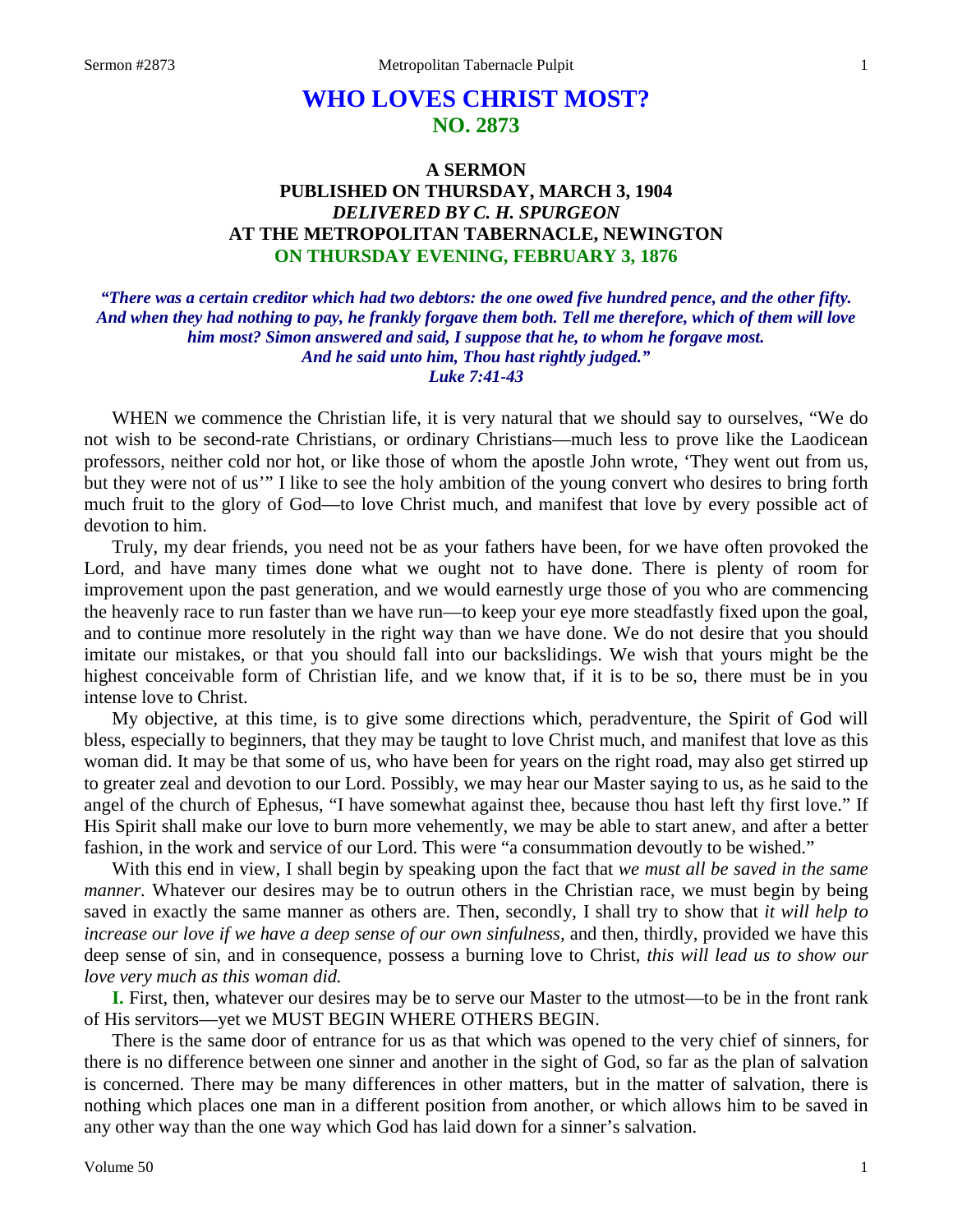# **WHO LOVES CHRIST MOST? NO. 2873**

# **A SERMON PUBLISHED ON THURSDAY, MARCH 3, 1904** *DELIVERED BY C. H. SPURGEON* **AT THE METROPOLITAN TABERNACLE, NEWINGTON ON THURSDAY EVENING, FEBRUARY 3, 1876**

*"There was a certain creditor which had two debtors: the one owed five hundred pence, and the other fifty. And when they had nothing to pay, he frankly forgave them both. Tell me therefore, which of them will love him most? Simon answered and said, I suppose that he, to whom he forgave most. And he said unto him, Thou hast rightly judged." Luke 7:41-43*

WHEN we commence the Christian life, it is very natural that we should say to ourselves, "We do not wish to be second-rate Christians, or ordinary Christians—much less to prove like the Laodicean professors, neither cold nor hot, or like those of whom the apostle John wrote, 'They went out from us, but they were not of us'" I like to see the holy ambition of the young convert who desires to bring forth much fruit to the glory of God—to love Christ much, and manifest that love by every possible act of devotion to him.

Truly, my dear friends, you need not be as your fathers have been, for we have often provoked the Lord, and have many times done what we ought not to have done. There is plenty of room for improvement upon the past generation, and we would earnestly urge those of you who are commencing the heavenly race to run faster than we have run—to keep your eye more steadfastly fixed upon the goal, and to continue more resolutely in the right way than we have done. We do not desire that you should imitate our mistakes, or that you should fall into our backslidings. We wish that yours might be the highest conceivable form of Christian life, and we know that, if it is to be so, there must be in you intense love to Christ.

My objective, at this time, is to give some directions which, peradventure, the Spirit of God will bless, especially to beginners, that they may be taught to love Christ much, and manifest that love as this woman did. It may be that some of us, who have been for years on the right road, may also get stirred up to greater zeal and devotion to our Lord. Possibly, we may hear our Master saying to us, as he said to the angel of the church of Ephesus, "I have somewhat against thee, because thou hast left thy first love." If His Spirit shall make our love to burn more vehemently, we may be able to start anew, and after a better fashion, in the work and service of our Lord. This were "a consummation devoutly to be wished."

With this end in view, I shall begin by speaking upon the fact that *we must all be saved in the same manner*. Whatever our desires may be to outrun others in the Christian race, we must begin by being saved in exactly the same manner as others are. Then, secondly, I shall try to show that *it will help to increase our love if we have a deep sense of our own sinfulness,* and then, thirdly, provided we have this deep sense of sin, and in consequence, possess a burning love to Christ, *this will lead us to show our love very much as this woman did.*

**I.** First, then, whatever our desires may be to serve our Master to the utmost—to be in the front rank of His servitors—yet we MUST BEGIN WHERE OTHERS BEGIN.

There is the same door of entrance for us as that which was opened to the very chief of sinners, for there is no difference between one sinner and another in the sight of God, so far as the plan of salvation is concerned. There may be many differences in other matters, but in the matter of salvation, there is nothing which places one man in a different position from another, or which allows him to be saved in any other way than the one way which God has laid down for a sinner's salvation.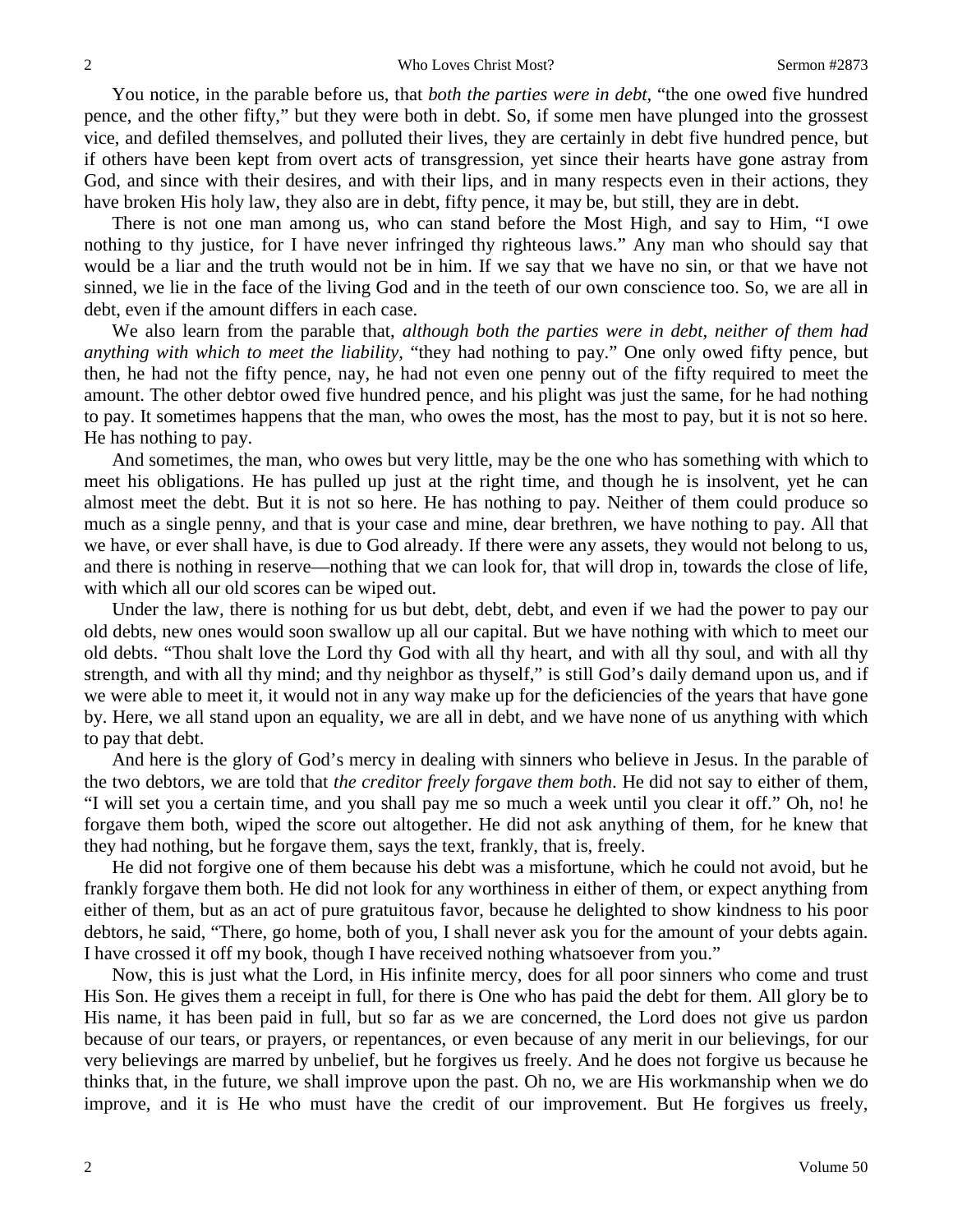You notice, in the parable before us, that *both the parties were in debt,* "the one owed five hundred pence, and the other fifty," but they were both in debt. So, if some men have plunged into the grossest vice, and defiled themselves, and polluted their lives, they are certainly in debt five hundred pence, but if others have been kept from overt acts of transgression, yet since their hearts have gone astray from God, and since with their desires, and with their lips, and in many respects even in their actions, they have broken His holy law, they also are in debt, fifty pence, it may be, but still, they are in debt.

There is not one man among us, who can stand before the Most High, and say to Him, "I owe nothing to thy justice, for I have never infringed thy righteous laws." Any man who should say that would be a liar and the truth would not be in him. If we say that we have no sin, or that we have not sinned, we lie in the face of the living God and in the teeth of our own conscience too. So, we are all in debt, even if the amount differs in each case.

We also learn from the parable that, *although both the parties were in debt, neither of them had anything with which to meet the liability,* "they had nothing to pay." One only owed fifty pence, but then, he had not the fifty pence, nay, he had not even one penny out of the fifty required to meet the amount. The other debtor owed five hundred pence, and his plight was just the same, for he had nothing to pay. It sometimes happens that the man, who owes the most, has the most to pay, but it is not so here. He has nothing to pay.

And sometimes, the man, who owes but very little, may be the one who has something with which to meet his obligations. He has pulled up just at the right time, and though he is insolvent, yet he can almost meet the debt. But it is not so here. He has nothing to pay. Neither of them could produce so much as a single penny, and that is your case and mine, dear brethren, we have nothing to pay. All that we have, or ever shall have, is due to God already. If there were any assets, they would not belong to us, and there is nothing in reserve—nothing that we can look for, that will drop in, towards the close of life, with which all our old scores can be wiped out.

Under the law, there is nothing for us but debt, debt, debt, and even if we had the power to pay our old debts, new ones would soon swallow up all our capital. But we have nothing with which to meet our old debts. "Thou shalt love the Lord thy God with all thy heart, and with all thy soul, and with all thy strength, and with all thy mind; and thy neighbor as thyself," is still God's daily demand upon us, and if we were able to meet it, it would not in any way make up for the deficiencies of the years that have gone by. Here, we all stand upon an equality, we are all in debt, and we have none of us anything with which to pay that debt.

And here is the glory of God's mercy in dealing with sinners who believe in Jesus. In the parable of the two debtors, we are told that *the creditor freely forgave them both*. He did not say to either of them, "I will set you a certain time, and you shall pay me so much a week until you clear it off." Oh, no! he forgave them both, wiped the score out altogether. He did not ask anything of them, for he knew that they had nothing, but he forgave them, says the text, frankly, that is, freely.

He did not forgive one of them because his debt was a misfortune, which he could not avoid, but he frankly forgave them both. He did not look for any worthiness in either of them, or expect anything from either of them, but as an act of pure gratuitous favor, because he delighted to show kindness to his poor debtors, he said, "There, go home, both of you, I shall never ask you for the amount of your debts again. I have crossed it off my book, though I have received nothing whatsoever from you."

Now, this is just what the Lord, in His infinite mercy, does for all poor sinners who come and trust His Son. He gives them a receipt in full, for there is One who has paid the debt for them. All glory be to His name, it has been paid in full, but so far as we are concerned, the Lord does not give us pardon because of our tears, or prayers, or repentances, or even because of any merit in our believings, for our very believings are marred by unbelief, but he forgives us freely. And he does not forgive us because he thinks that, in the future, we shall improve upon the past. Oh no, we are His workmanship when we do improve, and it is He who must have the credit of our improvement. But He forgives us freely,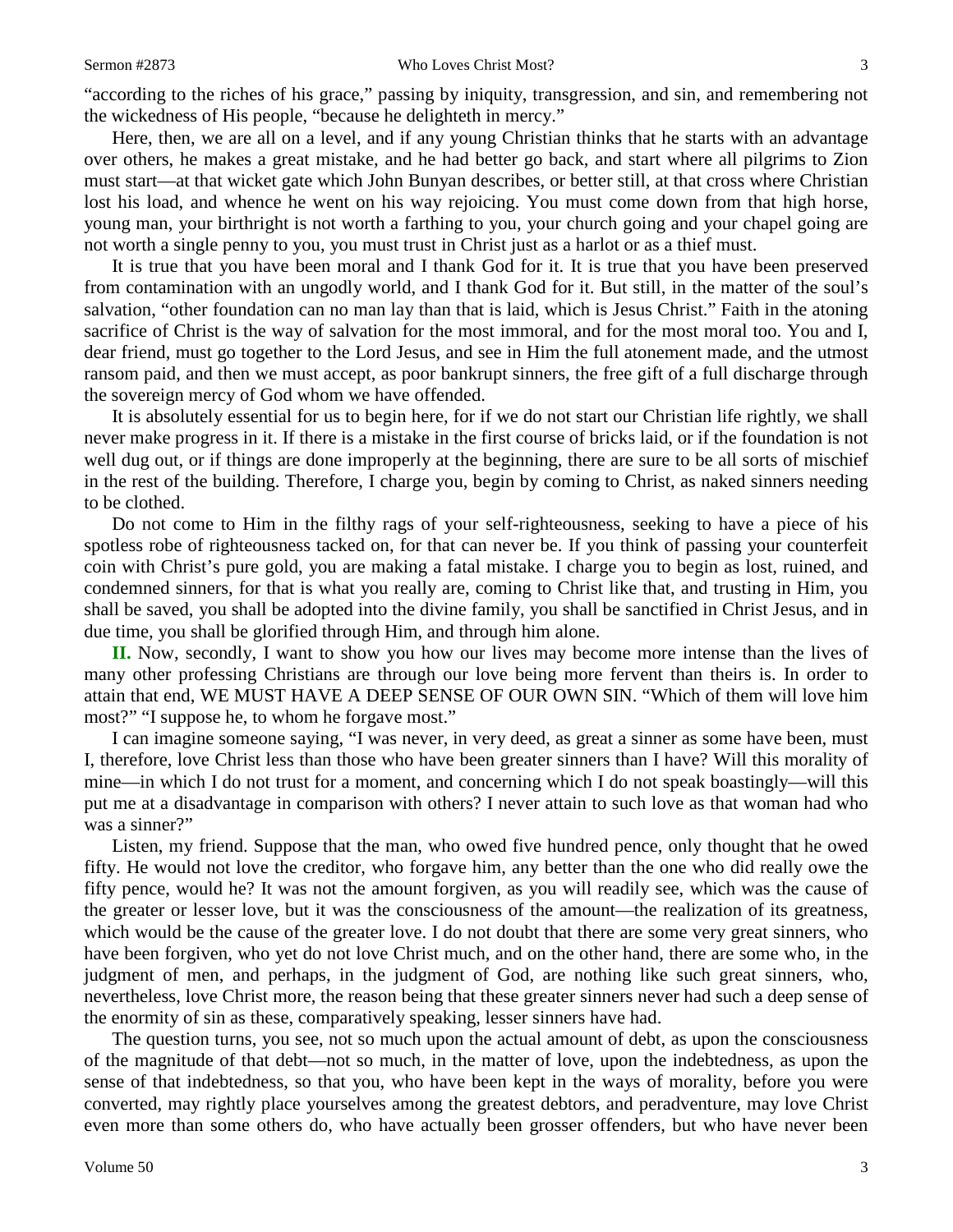"according to the riches of his grace," passing by iniquity, transgression, and sin, and remembering not the wickedness of His people, "because he delighteth in mercy."

Here, then, we are all on a level, and if any young Christian thinks that he starts with an advantage over others, he makes a great mistake, and he had better go back, and start where all pilgrims to Zion must start—at that wicket gate which John Bunyan describes, or better still, at that cross where Christian lost his load, and whence he went on his way rejoicing. You must come down from that high horse, young man, your birthright is not worth a farthing to you, your church going and your chapel going are not worth a single penny to you, you must trust in Christ just as a harlot or as a thief must.

It is true that you have been moral and I thank God for it. It is true that you have been preserved from contamination with an ungodly world, and I thank God for it. But still, in the matter of the soul's salvation, "other foundation can no man lay than that is laid, which is Jesus Christ." Faith in the atoning sacrifice of Christ is the way of salvation for the most immoral, and for the most moral too. You and I, dear friend, must go together to the Lord Jesus, and see in Him the full atonement made, and the utmost ransom paid, and then we must accept, as poor bankrupt sinners, the free gift of a full discharge through the sovereign mercy of God whom we have offended.

It is absolutely essential for us to begin here, for if we do not start our Christian life rightly, we shall never make progress in it. If there is a mistake in the first course of bricks laid, or if the foundation is not well dug out, or if things are done improperly at the beginning, there are sure to be all sorts of mischief in the rest of the building. Therefore, I charge you, begin by coming to Christ, as naked sinners needing to be clothed.

Do not come to Him in the filthy rags of your self-righteousness, seeking to have a piece of his spotless robe of righteousness tacked on, for that can never be. If you think of passing your counterfeit coin with Christ's pure gold, you are making a fatal mistake. I charge you to begin as lost, ruined, and condemned sinners, for that is what you really are, coming to Christ like that, and trusting in Him, you shall be saved, you shall be adopted into the divine family, you shall be sanctified in Christ Jesus, and in due time, you shall be glorified through Him, and through him alone.

**II.** Now, secondly, I want to show you how our lives may become more intense than the lives of many other professing Christians are through our love being more fervent than theirs is. In order to attain that end, WE MUST HAVE A DEEP SENSE OF OUR OWN SIN. "Which of them will love him most?" "I suppose he, to whom he forgave most."

I can imagine someone saying, "I was never, in very deed, as great a sinner as some have been, must I, therefore, love Christ less than those who have been greater sinners than I have? Will this morality of mine—in which I do not trust for a moment, and concerning which I do not speak boastingly—will this put me at a disadvantage in comparison with others? I never attain to such love as that woman had who was a sinner?"

Listen, my friend. Suppose that the man, who owed five hundred pence, only thought that he owed fifty. He would not love the creditor, who forgave him, any better than the one who did really owe the fifty pence, would he? It was not the amount forgiven, as you will readily see, which was the cause of the greater or lesser love, but it was the consciousness of the amount—the realization of its greatness, which would be the cause of the greater love. I do not doubt that there are some very great sinners, who have been forgiven, who yet do not love Christ much, and on the other hand, there are some who, in the judgment of men, and perhaps, in the judgment of God, are nothing like such great sinners, who, nevertheless, love Christ more, the reason being that these greater sinners never had such a deep sense of the enormity of sin as these, comparatively speaking, lesser sinners have had.

The question turns, you see, not so much upon the actual amount of debt, as upon the consciousness of the magnitude of that debt—not so much, in the matter of love, upon the indebtedness, as upon the sense of that indebtedness, so that you, who have been kept in the ways of morality, before you were converted, may rightly place yourselves among the greatest debtors, and peradventure, may love Christ even more than some others do, who have actually been grosser offenders, but who have never been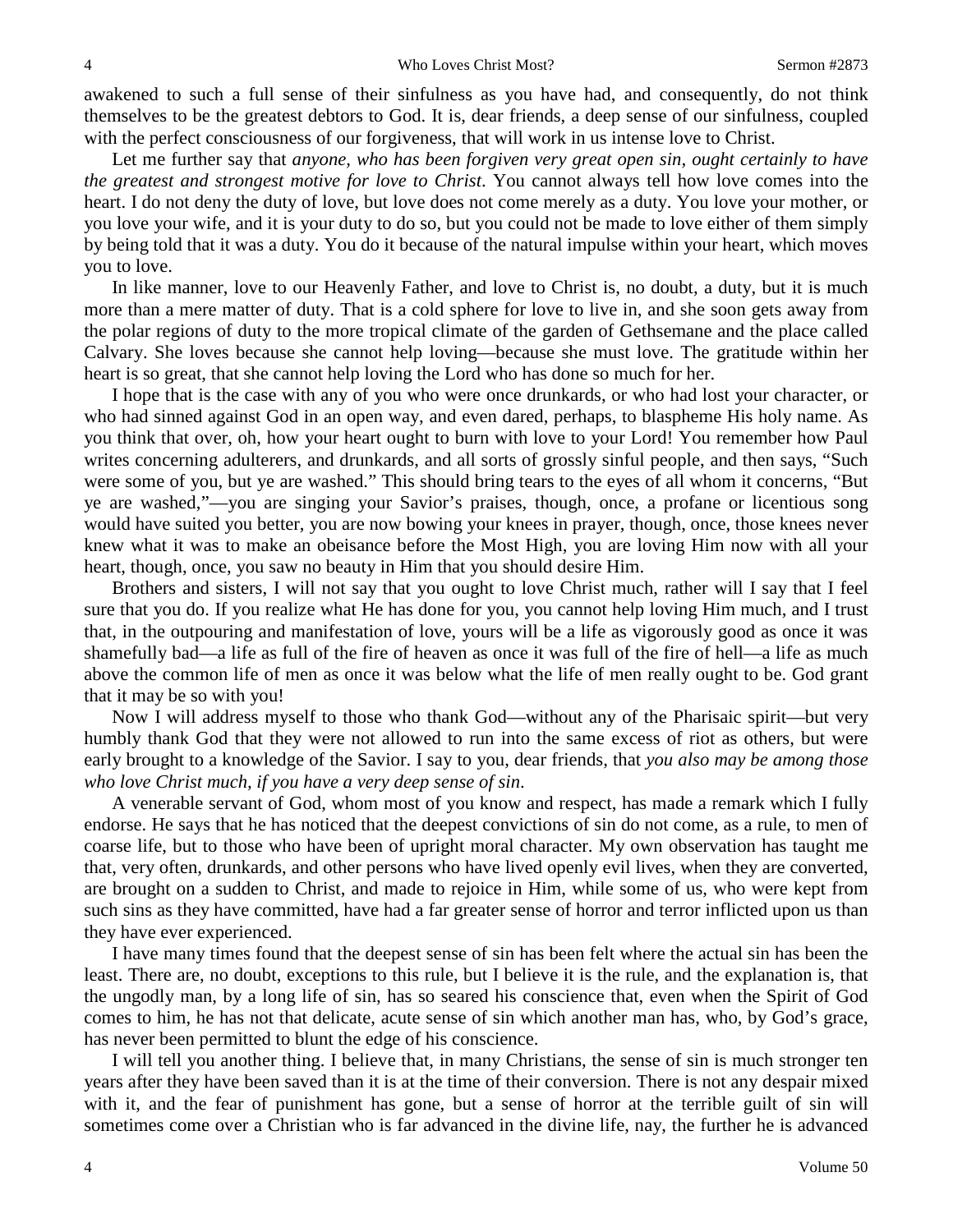awakened to such a full sense of their sinfulness as you have had, and consequently, do not think themselves to be the greatest debtors to God. It is, dear friends, a deep sense of our sinfulness, coupled with the perfect consciousness of our forgiveness, that will work in us intense love to Christ.

Let me further say that *anyone, who has been forgiven very great open sin, ought certainly to have the greatest and strongest motive for love to Christ*. You cannot always tell how love comes into the heart. I do not deny the duty of love, but love does not come merely as a duty. You love your mother, or you love your wife, and it is your duty to do so, but you could not be made to love either of them simply by being told that it was a duty. You do it because of the natural impulse within your heart, which moves you to love.

In like manner, love to our Heavenly Father, and love to Christ is, no doubt, a duty, but it is much more than a mere matter of duty. That is a cold sphere for love to live in, and she soon gets away from the polar regions of duty to the more tropical climate of the garden of Gethsemane and the place called Calvary. She loves because she cannot help loving—because she must love. The gratitude within her heart is so great, that she cannot help loving the Lord who has done so much for her.

I hope that is the case with any of you who were once drunkards, or who had lost your character, or who had sinned against God in an open way, and even dared, perhaps, to blaspheme His holy name. As you think that over, oh, how your heart ought to burn with love to your Lord! You remember how Paul writes concerning adulterers, and drunkards, and all sorts of grossly sinful people, and then says, "Such were some of you, but ye are washed." This should bring tears to the eyes of all whom it concerns, "But ye are washed,"—you are singing your Savior's praises, though, once, a profane or licentious song would have suited you better, you are now bowing your knees in prayer, though, once, those knees never knew what it was to make an obeisance before the Most High, you are loving Him now with all your heart, though, once, you saw no beauty in Him that you should desire Him.

Brothers and sisters, I will not say that you ought to love Christ much, rather will I say that I feel sure that you do. If you realize what He has done for you, you cannot help loving Him much, and I trust that, in the outpouring and manifestation of love, yours will be a life as vigorously good as once it was shamefully bad—a life as full of the fire of heaven as once it was full of the fire of hell—a life as much above the common life of men as once it was below what the life of men really ought to be. God grant that it may be so with you!

Now I will address myself to those who thank God—without any of the Pharisaic spirit—but very humbly thank God that they were not allowed to run into the same excess of riot as others, but were early brought to a knowledge of the Savior. I say to you, dear friends, that *you also may be among those who love Christ much, if you have a very deep sense of sin*.

A venerable servant of God, whom most of you know and respect, has made a remark which I fully endorse. He says that he has noticed that the deepest convictions of sin do not come, as a rule, to men of coarse life, but to those who have been of upright moral character. My own observation has taught me that, very often, drunkards, and other persons who have lived openly evil lives, when they are converted, are brought on a sudden to Christ, and made to rejoice in Him, while some of us, who were kept from such sins as they have committed, have had a far greater sense of horror and terror inflicted upon us than they have ever experienced.

I have many times found that the deepest sense of sin has been felt where the actual sin has been the least. There are, no doubt, exceptions to this rule, but I believe it is the rule, and the explanation is, that the ungodly man, by a long life of sin, has so seared his conscience that, even when the Spirit of God comes to him, he has not that delicate, acute sense of sin which another man has, who, by God's grace, has never been permitted to blunt the edge of his conscience.

I will tell you another thing. I believe that, in many Christians, the sense of sin is much stronger ten years after they have been saved than it is at the time of their conversion. There is not any despair mixed with it, and the fear of punishment has gone, but a sense of horror at the terrible guilt of sin will sometimes come over a Christian who is far advanced in the divine life, nay, the further he is advanced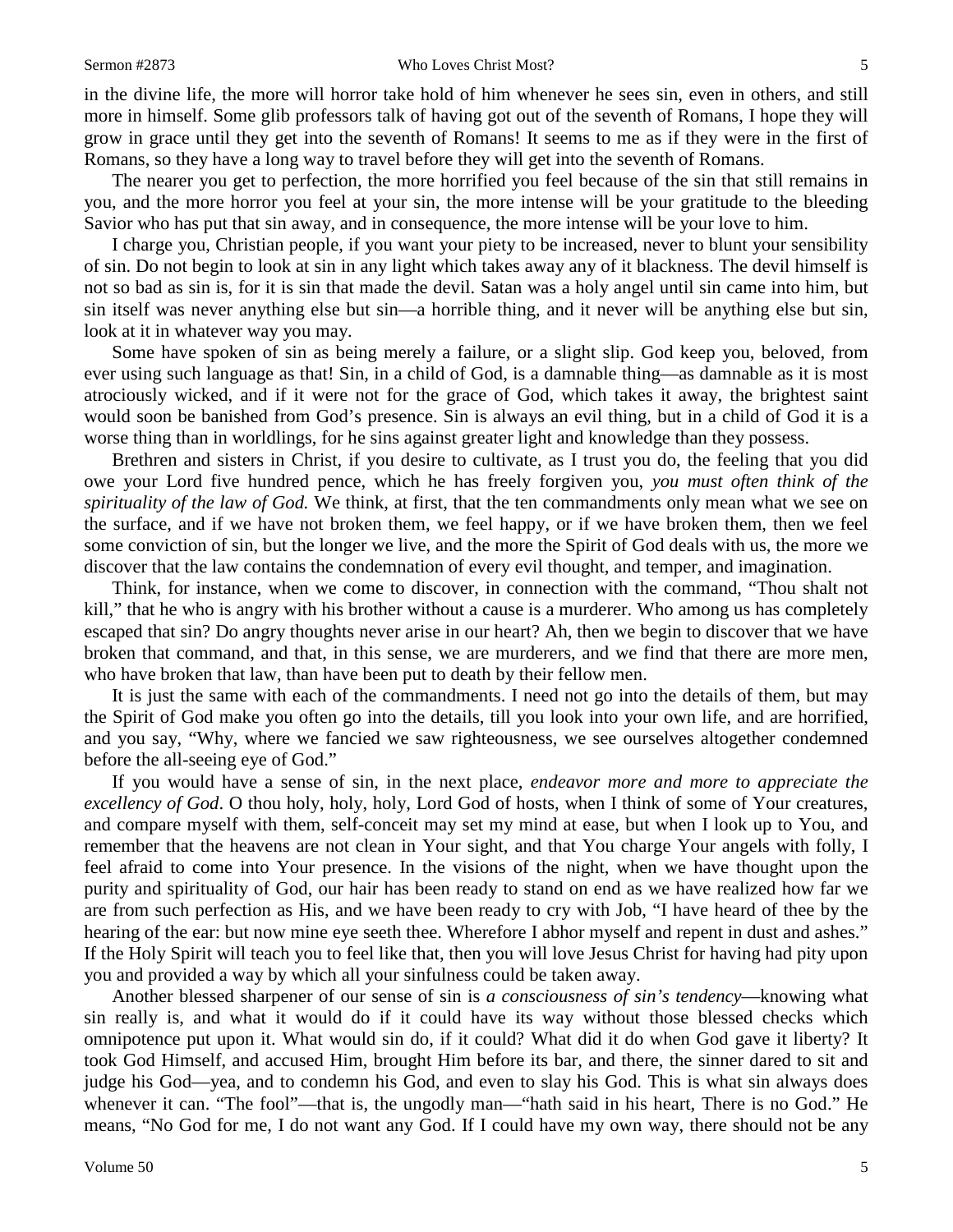#### Sermon #2873 Who Loves Christ Most? 5

in the divine life, the more will horror take hold of him whenever he sees sin, even in others, and still more in himself. Some glib professors talk of having got out of the seventh of Romans, I hope they will grow in grace until they get into the seventh of Romans! It seems to me as if they were in the first of Romans, so they have a long way to travel before they will get into the seventh of Romans.

The nearer you get to perfection, the more horrified you feel because of the sin that still remains in you, and the more horror you feel at your sin, the more intense will be your gratitude to the bleeding Savior who has put that sin away, and in consequence, the more intense will be your love to him.

I charge you, Christian people, if you want your piety to be increased, never to blunt your sensibility of sin. Do not begin to look at sin in any light which takes away any of it blackness. The devil himself is not so bad as sin is, for it is sin that made the devil. Satan was a holy angel until sin came into him, but sin itself was never anything else but sin—a horrible thing, and it never will be anything else but sin, look at it in whatever way you may.

Some have spoken of sin as being merely a failure, or a slight slip. God keep you, beloved, from ever using such language as that! Sin, in a child of God, is a damnable thing—as damnable as it is most atrociously wicked, and if it were not for the grace of God, which takes it away, the brightest saint would soon be banished from God's presence. Sin is always an evil thing, but in a child of God it is a worse thing than in worldlings, for he sins against greater light and knowledge than they possess.

Brethren and sisters in Christ, if you desire to cultivate, as I trust you do, the feeling that you did owe your Lord five hundred pence, which he has freely forgiven you, *you must often think of the spirituality of the law of God.* We think, at first, that the ten commandments only mean what we see on the surface, and if we have not broken them, we feel happy, or if we have broken them, then we feel some conviction of sin, but the longer we live, and the more the Spirit of God deals with us, the more we discover that the law contains the condemnation of every evil thought, and temper, and imagination.

Think, for instance, when we come to discover, in connection with the command, "Thou shalt not kill," that he who is angry with his brother without a cause is a murderer. Who among us has completely escaped that sin? Do angry thoughts never arise in our heart? Ah, then we begin to discover that we have broken that command, and that, in this sense, we are murderers, and we find that there are more men, who have broken that law, than have been put to death by their fellow men.

It is just the same with each of the commandments. I need not go into the details of them, but may the Spirit of God make you often go into the details, till you look into your own life, and are horrified, and you say, "Why, where we fancied we saw righteousness, we see ourselves altogether condemned before the all-seeing eye of God."

If you would have a sense of sin, in the next place, *endeavor more and more to appreciate the excellency of God*. O thou holy, holy, holy, Lord God of hosts, when I think of some of Your creatures, and compare myself with them, self-conceit may set my mind at ease, but when I look up to You, and remember that the heavens are not clean in Your sight, and that You charge Your angels with folly, I feel afraid to come into Your presence. In the visions of the night, when we have thought upon the purity and spirituality of God, our hair has been ready to stand on end as we have realized how far we are from such perfection as His, and we have been ready to cry with Job, "I have heard of thee by the hearing of the ear: but now mine eye seeth thee. Wherefore I abhor myself and repent in dust and ashes." If the Holy Spirit will teach you to feel like that, then you will love Jesus Christ for having had pity upon you and provided a way by which all your sinfulness could be taken away.

Another blessed sharpener of our sense of sin is *a consciousness of sin's tendency*—knowing what sin really is, and what it would do if it could have its way without those blessed checks which omnipotence put upon it. What would sin do, if it could? What did it do when God gave it liberty? It took God Himself, and accused Him, brought Him before its bar, and there, the sinner dared to sit and judge his God—yea, and to condemn his God, and even to slay his God. This is what sin always does whenever it can. "The fool"—that is, the ungodly man—"hath said in his heart, There is no God." He means, "No God for me, I do not want any God. If I could have my own way, there should not be any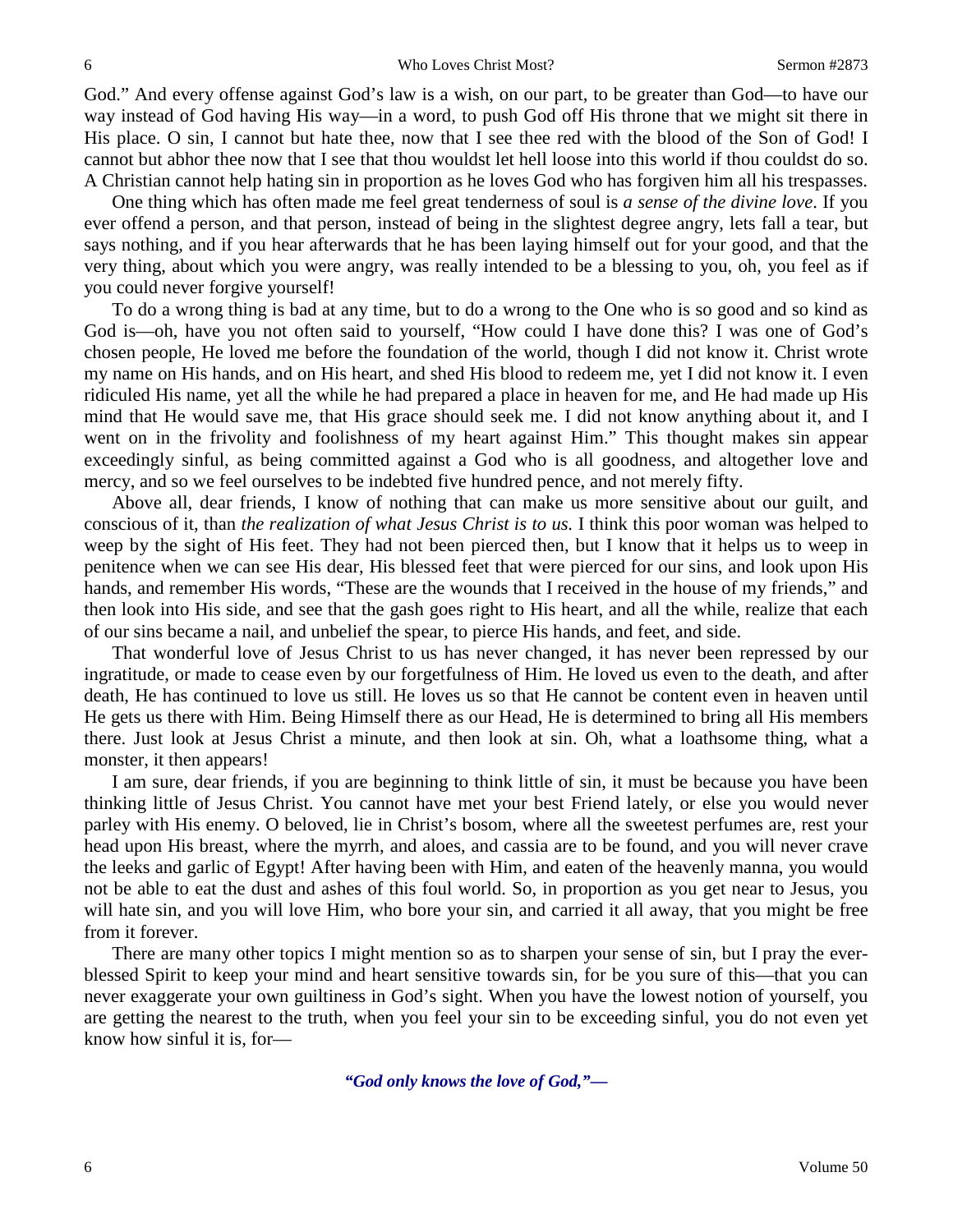God." And every offense against God's law is a wish, on our part, to be greater than God—to have our way instead of God having His way—in a word, to push God off His throne that we might sit there in His place. O sin, I cannot but hate thee, now that I see thee red with the blood of the Son of God! I cannot but abhor thee now that I see that thou wouldst let hell loose into this world if thou couldst do so. A Christian cannot help hating sin in proportion as he loves God who has forgiven him all his trespasses.

One thing which has often made me feel great tenderness of soul is *a sense of the divine love*. If you ever offend a person, and that person, instead of being in the slightest degree angry, lets fall a tear, but says nothing, and if you hear afterwards that he has been laying himself out for your good, and that the very thing, about which you were angry, was really intended to be a blessing to you, oh, you feel as if you could never forgive yourself!

To do a wrong thing is bad at any time, but to do a wrong to the One who is so good and so kind as God is—oh, have you not often said to yourself, "How could I have done this? I was one of God's chosen people, He loved me before the foundation of the world, though I did not know it. Christ wrote my name on His hands, and on His heart, and shed His blood to redeem me, yet I did not know it. I even ridiculed His name, yet all the while he had prepared a place in heaven for me, and He had made up His mind that He would save me, that His grace should seek me. I did not know anything about it, and I went on in the frivolity and foolishness of my heart against Him." This thought makes sin appear exceedingly sinful, as being committed against a God who is all goodness, and altogether love and mercy, and so we feel ourselves to be indebted five hundred pence, and not merely fifty.

Above all, dear friends, I know of nothing that can make us more sensitive about our guilt, and conscious of it, than *the realization of what Jesus Christ is to us.* I think this poor woman was helped to weep by the sight of His feet. They had not been pierced then, but I know that it helps us to weep in penitence when we can see His dear, His blessed feet that were pierced for our sins, and look upon His hands, and remember His words, "These are the wounds that I received in the house of my friends," and then look into His side, and see that the gash goes right to His heart, and all the while, realize that each of our sins became a nail, and unbelief the spear, to pierce His hands, and feet, and side.

That wonderful love of Jesus Christ to us has never changed, it has never been repressed by our ingratitude, or made to cease even by our forgetfulness of Him. He loved us even to the death, and after death, He has continued to love us still. He loves us so that He cannot be content even in heaven until He gets us there with Him. Being Himself there as our Head, He is determined to bring all His members there. Just look at Jesus Christ a minute, and then look at sin. Oh, what a loathsome thing, what a monster, it then appears!

I am sure, dear friends, if you are beginning to think little of sin, it must be because you have been thinking little of Jesus Christ. You cannot have met your best Friend lately, or else you would never parley with His enemy. O beloved, lie in Christ's bosom, where all the sweetest perfumes are, rest your head upon His breast, where the myrrh, and aloes, and cassia are to be found, and you will never crave the leeks and garlic of Egypt! After having been with Him, and eaten of the heavenly manna, you would not be able to eat the dust and ashes of this foul world. So, in proportion as you get near to Jesus, you will hate sin, and you will love Him, who bore your sin, and carried it all away, that you might be free from it forever.

There are many other topics I might mention so as to sharpen your sense of sin, but I pray the everblessed Spirit to keep your mind and heart sensitive towards sin, for be you sure of this—that you can never exaggerate your own guiltiness in God's sight. When you have the lowest notion of yourself, you are getting the nearest to the truth, when you feel your sin to be exceeding sinful, you do not even yet know how sinful it is, for—

*"God only knows the love of God,"—*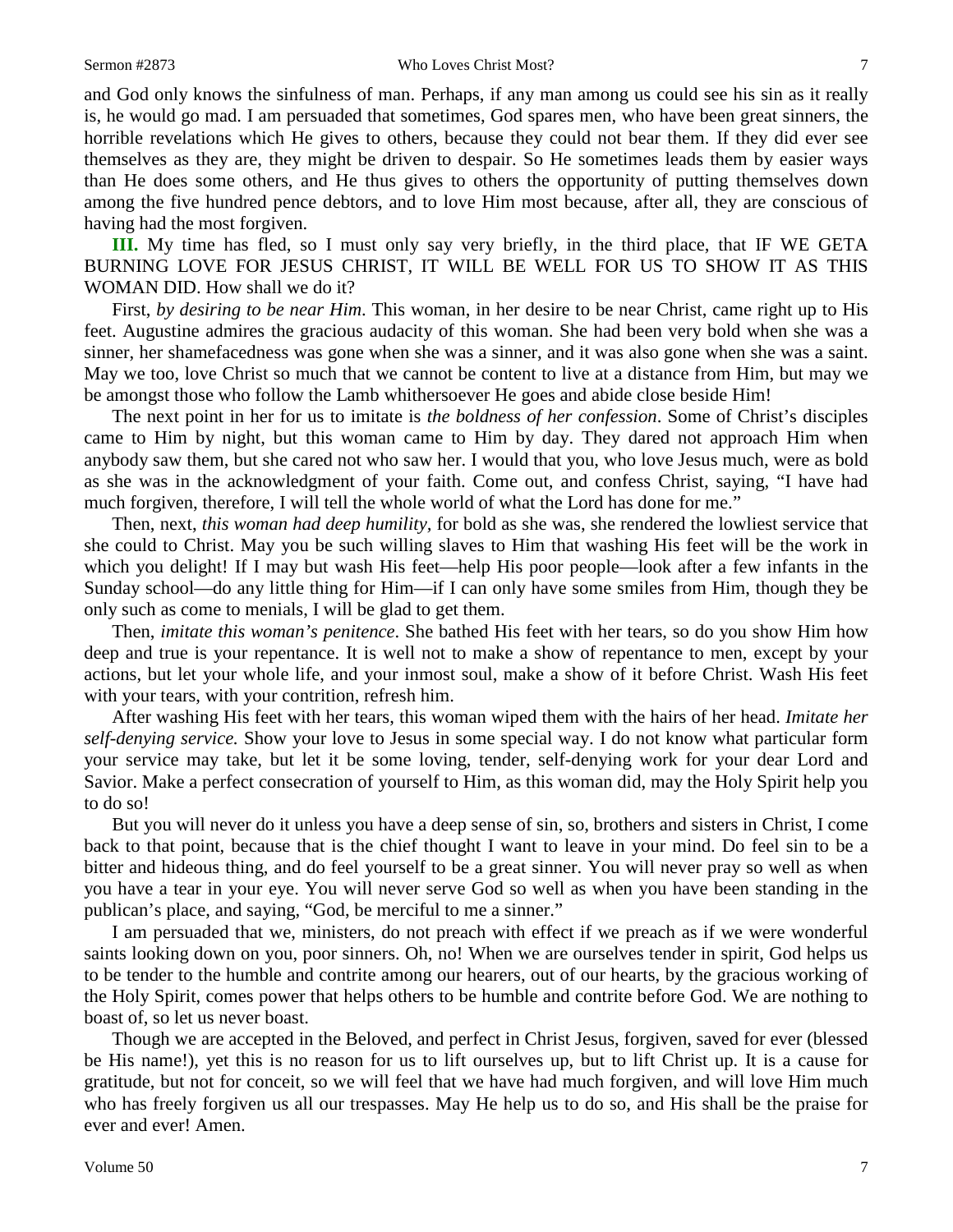and God only knows the sinfulness of man. Perhaps, if any man among us could see his sin as it really is, he would go mad. I am persuaded that sometimes, God spares men, who have been great sinners, the horrible revelations which He gives to others, because they could not bear them. If they did ever see themselves as they are, they might be driven to despair. So He sometimes leads them by easier ways than He does some others, and He thus gives to others the opportunity of putting themselves down among the five hundred pence debtors, and to love Him most because, after all, they are conscious of having had the most forgiven.

**III.** My time has fled, so I must only say very briefly, in the third place, that IF WE GETA BURNING LOVE FOR JESUS CHRIST, IT WILL BE WELL FOR US TO SHOW IT AS THIS WOMAN DID. How shall we do it?

First, *by desiring to be near Him*. This woman, in her desire to be near Christ, came right up to His feet. Augustine admires the gracious audacity of this woman. She had been very bold when she was a sinner, her shamefacedness was gone when she was a sinner, and it was also gone when she was a saint. May we too, love Christ so much that we cannot be content to live at a distance from Him, but may we be amongst those who follow the Lamb whithersoever He goes and abide close beside Him!

The next point in her for us to imitate is *the boldness of her confession*. Some of Christ's disciples came to Him by night, but this woman came to Him by day. They dared not approach Him when anybody saw them, but she cared not who saw her. I would that you, who love Jesus much, were as bold as she was in the acknowledgment of your faith. Come out, and confess Christ, saying, "I have had much forgiven, therefore, I will tell the whole world of what the Lord has done for me."

Then, next, *this woman had deep humility,* for bold as she was, she rendered the lowliest service that she could to Christ. May you be such willing slaves to Him that washing His feet will be the work in which you delight! If I may but wash His feet—help His poor people—look after a few infants in the Sunday school—do any little thing for Him—if I can only have some smiles from Him, though they be only such as come to menials, I will be glad to get them.

Then, *imitate this woman's penitence*. She bathed His feet with her tears, so do you show Him how deep and true is your repentance. It is well not to make a show of repentance to men, except by your actions, but let your whole life, and your inmost soul, make a show of it before Christ. Wash His feet with your tears, with your contrition, refresh him.

After washing His feet with her tears, this woman wiped them with the hairs of her head. *Imitate her self-denying service.* Show your love to Jesus in some special way. I do not know what particular form your service may take, but let it be some loving, tender, self-denying work for your dear Lord and Savior. Make a perfect consecration of yourself to Him, as this woman did, may the Holy Spirit help you to do so!

But you will never do it unless you have a deep sense of sin, so, brothers and sisters in Christ, I come back to that point, because that is the chief thought I want to leave in your mind. Do feel sin to be a bitter and hideous thing, and do feel yourself to be a great sinner. You will never pray so well as when you have a tear in your eye. You will never serve God so well as when you have been standing in the publican's place, and saying, "God, be merciful to me a sinner."

I am persuaded that we, ministers, do not preach with effect if we preach as if we were wonderful saints looking down on you, poor sinners. Oh, no! When we are ourselves tender in spirit, God helps us to be tender to the humble and contrite among our hearers, out of our hearts, by the gracious working of the Holy Spirit, comes power that helps others to be humble and contrite before God. We are nothing to boast of, so let us never boast.

Though we are accepted in the Beloved, and perfect in Christ Jesus, forgiven, saved for ever (blessed be His name!), yet this is no reason for us to lift ourselves up, but to lift Christ up. It is a cause for gratitude, but not for conceit, so we will feel that we have had much forgiven, and will love Him much who has freely forgiven us all our trespasses. May He help us to do so, and His shall be the praise for ever and ever! Amen.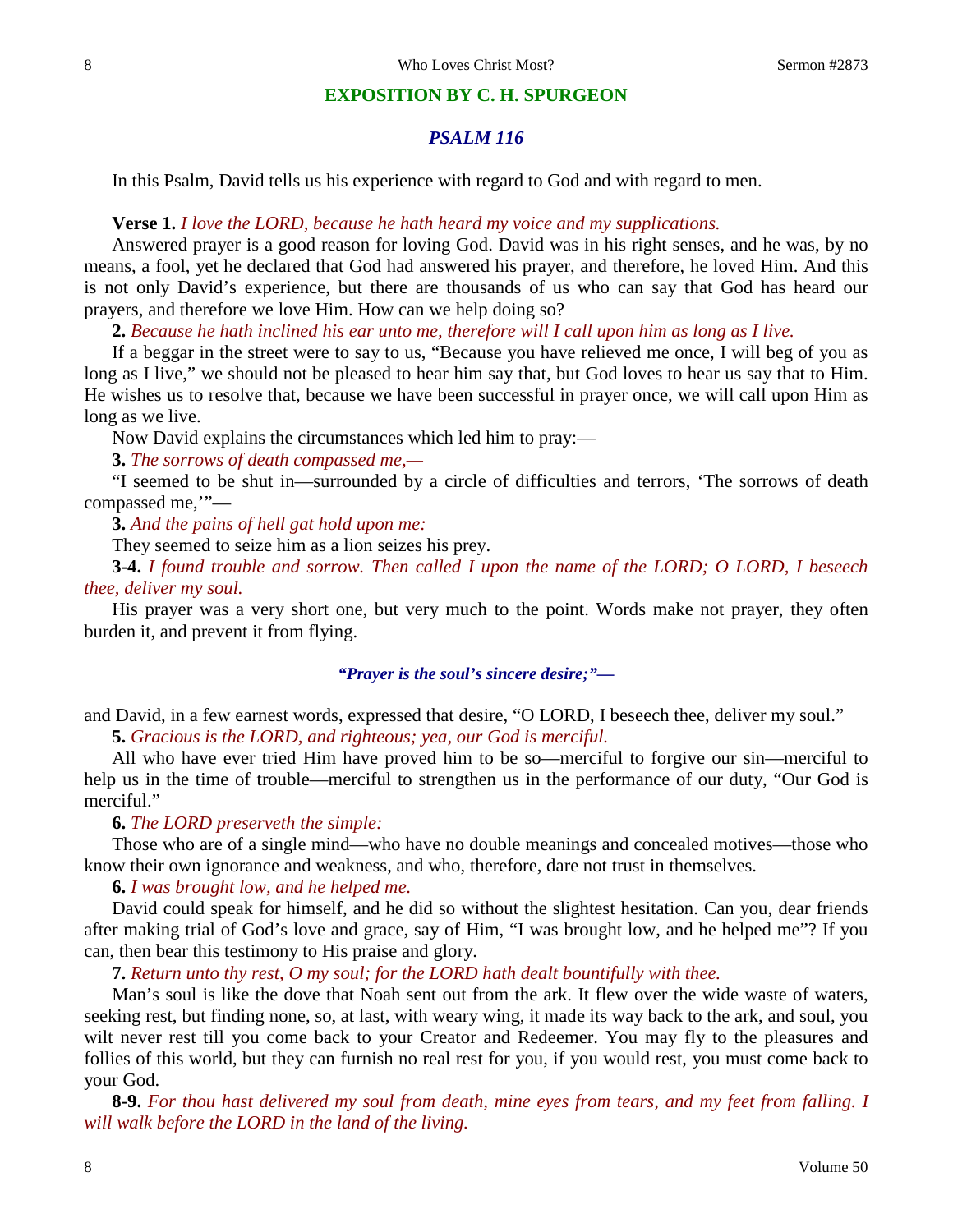#### **EXPOSITION BY C. H. SPURGEON**

## *PSALM 116*

In this Psalm, David tells us his experience with regard to God and with regard to men.

#### **Verse 1.** *I love the LORD, because he hath heard my voice and my supplications.*

Answered prayer is a good reason for loving God. David was in his right senses, and he was, by no means, a fool, yet he declared that God had answered his prayer, and therefore, he loved Him. And this is not only David's experience, but there are thousands of us who can say that God has heard our prayers, and therefore we love Him. How can we help doing so?

**2.** *Because he hath inclined his ear unto me, therefore will I call upon him as long as I live.*

If a beggar in the street were to say to us, "Because you have relieved me once, I will beg of you as long as I live," we should not be pleased to hear him say that, but God loves to hear us say that to Him. He wishes us to resolve that, because we have been successful in prayer once, we will call upon Him as long as we live.

Now David explains the circumstances which led him to pray:—

**3.** *The sorrows of death compassed me,—*

"I seemed to be shut in—surrounded by a circle of difficulties and terrors, 'The sorrows of death compassed me,'"—

**3.** *And the pains of hell gat hold upon me:*

They seemed to seize him as a lion seizes his prey.

**3-4.** *I found trouble and sorrow. Then called I upon the name of the LORD; O LORD, I beseech thee, deliver my soul.*

His prayer was a very short one, but very much to the point. Words make not prayer, they often burden it, and prevent it from flying.

#### *"Prayer is the soul's sincere desire;"—*

and David, in a few earnest words, expressed that desire, "O LORD, I beseech thee, deliver my soul." **5.** *Gracious is the LORD, and righteous; yea, our God is merciful.*

All who have ever tried Him have proved him to be so—merciful to forgive our sin—merciful to help us in the time of trouble—merciful to strengthen us in the performance of our duty, "Our God is merciful."

#### **6.** *The LORD preserveth the simple:*

Those who are of a single mind—who have no double meanings and concealed motives—those who know their own ignorance and weakness, and who, therefore, dare not trust in themselves.

**6.** *I was brought low, and he helped me.*

David could speak for himself, and he did so without the slightest hesitation. Can you, dear friends after making trial of God's love and grace, say of Him, "I was brought low, and he helped me"? If you can, then bear this testimony to His praise and glory.

**7.** *Return unto thy rest, O my soul; for the LORD hath dealt bountifully with thee.*

Man's soul is like the dove that Noah sent out from the ark. It flew over the wide waste of waters, seeking rest, but finding none, so, at last, with weary wing, it made its way back to the ark, and soul, you wilt never rest till you come back to your Creator and Redeemer. You may fly to the pleasures and follies of this world, but they can furnish no real rest for you, if you would rest, you must come back to your God.

**8-9.** *For thou hast delivered my soul from death, mine eyes from tears, and my feet from falling. I will walk before the LORD in the land of the living.*